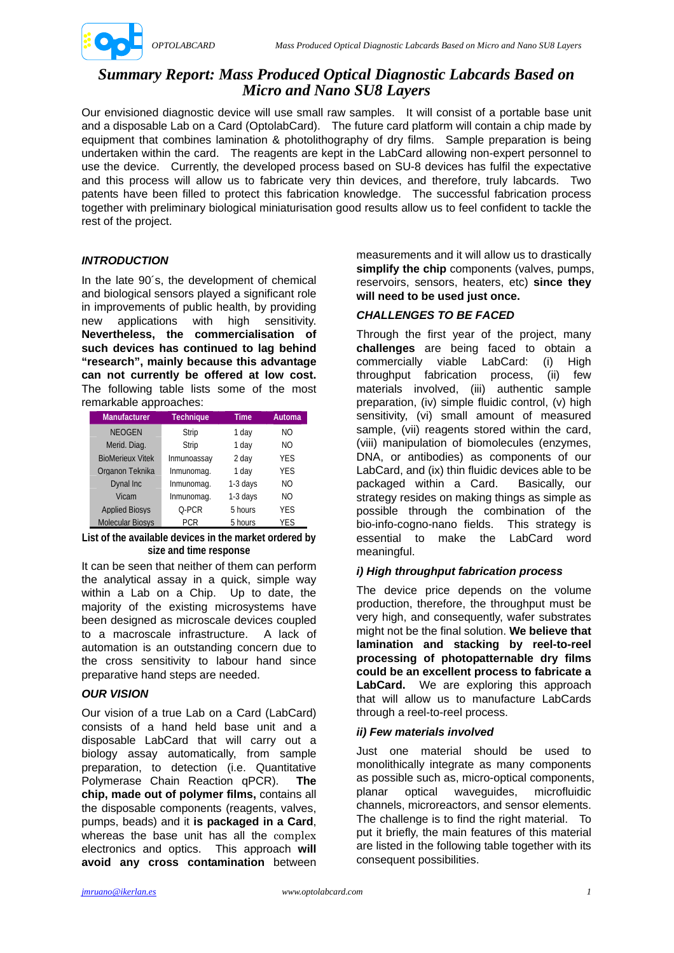

# *Summary Report: Mass Produced Optical Diagnostic Labcards Based on Micro and Nano SU8 Layers*

Our envisioned diagnostic device will use small raw samples. It will consist of a portable base unit and a disposable Lab on a Card (OptolabCard). The future card platform will contain a chip made by equipment that combines lamination & photolithography of dry films. Sample preparation is being undertaken within the card. The reagents are kept in the LabCard allowing non-expert personnel to use the device. Currently, the developed process based on SU-8 devices has fulfil the expectative and this process will allow us to fabricate very thin devices, and therefore, truly labcards. Two patents have been filled to protect this fabrication knowledge. The successful fabrication process together with preliminary biological miniaturisation good results allow us to feel confident to tackle the rest of the project.

## *INTRODUCTION*

In the late 90´s, the development of chemical and biological sensors played a significant role in improvements of public health, by providing new applications with high sensitivity. **Nevertheless, the commercialisation of such devices has continued to lag behind "research", mainly because this advantage can not currently be offered at low cost.** The following table lists some of the most remarkable approaches:

| <b>Manufacturer</b>     | <b>Technique</b> | Time     | Automa         |
|-------------------------|------------------|----------|----------------|
| <b>NEOGEN</b>           | Strip            | 1 dav    | NO.            |
| Merid. Diag.            | Strip            | 1 dav    | N <sub>O</sub> |
| <b>BioMerieux Vitek</b> | Inmunoassay      | 2 day    | <b>YES</b>     |
| Organon Teknika         | Inmunomag.       | 1 dav    | <b>YES</b>     |
| Dynal Inc               | Inmunomag.       | 1-3 days | NO.            |
| Vicam                   | Inmunomag.       | 1-3 days | NO.            |
| <b>Applied Biosys</b>   | 0-PCR            | 5 hours  | <b>YES</b>     |
| <b>Molecular Biosys</b> | PCR              | 5 hours  | YES            |

**List of the available devices in the market ordered by size and time response** 

It can be seen that neither of them can perform the analytical assay in a quick, simple way within a Lab on a Chip. Up to date, the majority of the existing microsystems have been designed as microscale devices coupled to a macroscale infrastructure. A lack of automation is an outstanding concern due to the cross sensitivity to labour hand since preparative hand steps are needed.

## *OUR VISION*

Our vision of a true Lab on a Card (LabCard) consists of a hand held base unit and a disposable LabCard that will carry out a biology assay automatically, from sample preparation, to detection (i.e. Quantitative Polymerase Chain Reaction qPCR). **The chip, made out of polymer films,** contains all the disposable components (reagents, valves, pumps, beads) and it **is packaged in a Card**, whereas the base unit has all the complex electronics and optics. This approach **will avoid any cross contamination** between measurements and it will allow us to drastically simplify the chip components (valves, pumps, reservoirs, sensors, heaters, etc) **since they will need to be used just once.** 

## *CHALLENGES TO BE FACED*

Through the first year of the project, many **challenges** are being faced to obtain a commercially viable LabCard: (i) High throughput fabrication process, (ii) few materials involved, (iii) authentic sample preparation, (iv) simple fluidic control, (v) high sensitivity, (vi) small amount of measured sample, (vii) reagents stored within the card, (viii) manipulation of biomolecules (enzymes, DNA, or antibodies) as components of our LabCard, and (ix) thin fluidic devices able to be packaged within a Card. Basically, our strategy resides on making things as simple as possible through the combination of the bio-info-cogno-nano fields. This strategy is essential to make the LabCard word meaningful.

## *i) High throughput fabrication process*

The device price depends on the volume production, therefore, the throughput must be very high, and consequently, wafer substrates might not be the final solution. **We believe that lamination and stacking by reel-to-reel processing of photopatternable dry films could be an excellent process to fabricate a LabCard.** We are exploring this approach that will allow us to manufacture LabCards through a reel-to-reel process.

## *ii) Few materials involved*

Just one material should be used to monolithically integrate as many components as possible such as, micro-optical components, planar optical waveguides, microfluidic channels, microreactors, and sensor elements. The challenge is to find the right material. To put it briefly, the main features of this material are listed in the following table together with its consequent possibilities.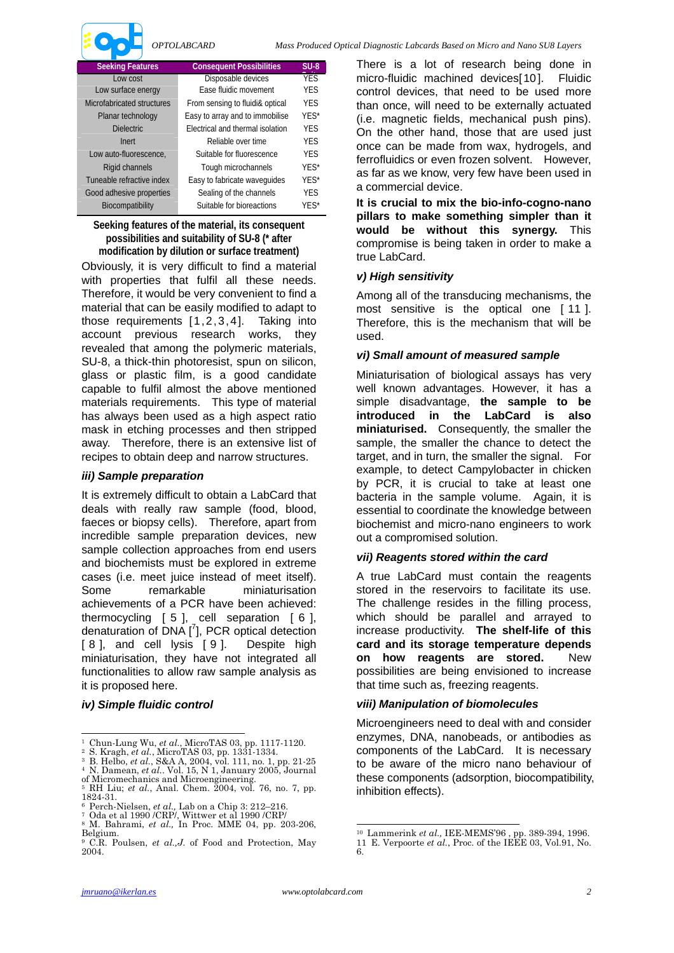

| <b>Seeking Features</b>    | <b>Consequent Possibilities</b>         | $SU-8$     |
|----------------------------|-----------------------------------------|------------|
| Low cost                   | Disposable devices                      | <b>YES</b> |
| Low surface energy         | Ease fluidic movement                   | <b>YES</b> |
| Microfabricated structures | From sensing to fluidi& optical         | <b>YFS</b> |
| Planar technology          | Easy to array and to immobilise         | YES*       |
| <b>Dielectric</b>          | <b>Electrical and thermal isolation</b> | <b>YFS</b> |
| Inert                      | Reliable over time                      | YES        |
| Low auto-fluorescence.     | Suitable for fluorescence               | <b>YES</b> |
| Rigid channels             | Tough microchannels                     | YES*       |
| Tuneable refractive index  | Easy to fabricate wavequides            | YES*       |
| Good adhesive properties   | Sealing of the channels                 | <b>YES</b> |
| Biocompatibility           | Suitable for bioreactions               | YES*       |

**Seeking features of the material, its consequent possibilities and suitability of SU-8 (\* after modification by dilution or surface treatment)** 

Obviously, it is very difficult to find a material with properties that fulfil all these needs. Therefore, it would be very convenient to find a material that can be easily modified to adapt to those requirements [1,2,3,4]. Taking into account previous research works, they revealed that among the polymeric materials, SU-8, a thick-thin photoresist, spun on silicon, glass or plastic film, is a good candidate capable to fulfil almost the above mentioned materials requirements. This type of material has always been used as a high aspect ratio mask in etching processes and then stripped away. Therefore, there is an extensive list of recipes to obtain deep and narrow structures.

#### *iii) Sample preparation*

It is extremely difficult to obtain a LabCard that deals with really raw sample (food, blood, faeces or biopsy cells). Therefore, apart from incredible sample preparation devices, new sample collection approaches from end users and biochemists must be explored in extreme cases (i.e. meet juice instead of meet itself). Some remarkable miniaturisation achievements of a PCR have been achieved: thermocycling  $[5]$ , cell separation  $[6]$ . denaturation of  $DNA$   $[^{7}]$ , PCR optical detection [ 8 ], and cell lysis [ 9 ]. Despite high miniaturisation, they have not integrated all functionalities to allow raw sample analysis as it is proposed here.

#### *iv) Simple fluidic control*

There is a lot of research being done in micro-fluidic machined devices[10]. Fluidic control devices, that need to be used more than once, will need to be externally actuated (i.e. magnetic fields, mechanical push pins). On the other hand, those that are used just once can be made from wax, hydrogels, and ferrofluidics or even frozen solvent. However, as far as we know, very few have been used in a commercial device.

**It is crucial to mix the bio-info-cogno-nano pillars to make something simpler than it would be without this synergy.** This compromise is being taken in order to make a true LabCard.

#### *v) High sensitivity*

Among all of the transducing mechanisms, the most sensitive is the optical one [ 11 ]. Therefore, this is the mechanism that will be used.

#### *vi) Small amount of measured sample*

Miniaturisation of biological assays has very well known advantages. However, it has a simple disadvantage, **the sample to be introduced in the LabCard is also miniaturised.** Consequently, the smaller the sample, the smaller the chance to detect the target, and in turn, the smaller the signal. For example, to detect Campylobacter in chicken by PCR, it is crucial to take at least one bacteria in the sample volume. Again, it is essential to coordinate the knowledge between biochemist and micro-nano engineers to work out a compromised solution.

#### *vii) Reagents stored within the card*

A true LabCard must contain the reagents stored in the reservoirs to facilitate its use. The challenge resides in the filling process, which should be parallel and arrayed to increase productivity. **The shelf-life of this card and its storage temperature depends on how reagents are stored.** New possibilities are being envisioned to increase that time such as, freezing reagents.

#### *viii) Manipulation of biomolecules*

Microengineers need to deal with and consider enzymes, DNA, nanobeads, or antibodies as components of the LabCard. It is necessary to be aware of the micro nano behaviour of these components (adsorption, biocompatibility, inhibition effects).

<sup>&</sup>lt;sup>1</sup> Chun-Lung Wu, et al., MicroTAS 03, pp. 1117-1120.

<sup>&</sup>lt;sup>1</sup> Chun-Lung Wu, *et al.*, MicroTAS 03, pp. 1117-1120.<br>
<sup>2</sup> S. Kragh, *et al.*, MicroTAS 03, pp. 1331-1334.<br>
<sup>3</sup> B. Helbo, *et al.*, S&A A, 2004, vol. 111, no. 1, pp. 21-25<br>
<sup>4</sup> N. Damean, *et al.*. Vol. 15, N 1, January

<sup>5</sup> RH Liu; *et al.*, Anal. Chem. 2004, vol. 76, no. 7, pp. 1824-31.

<sup>6</sup> Perch-Nielsen, *et al.,* Lab on a Chip 3: 212–216. 7 Oda et al 1990 /CRP/, Wittwer et al 1990 /CRP/ 8 M. Bahrami, *et al.,* In Proc. MME 04, pp. 203-206,

Belgium.

<sup>9</sup> C.R. Poulsen, *et al.,J.* of Food and Protection, May 2004.

 $\overline{a}$ 10 Lammerink *et al.,* IEE-MEMS'96 , pp. 389-394, 1996.

<sup>11</sup> E. Verpoorte *et al.*, Proc. of the IEEE 03, Vol.91, No. 6.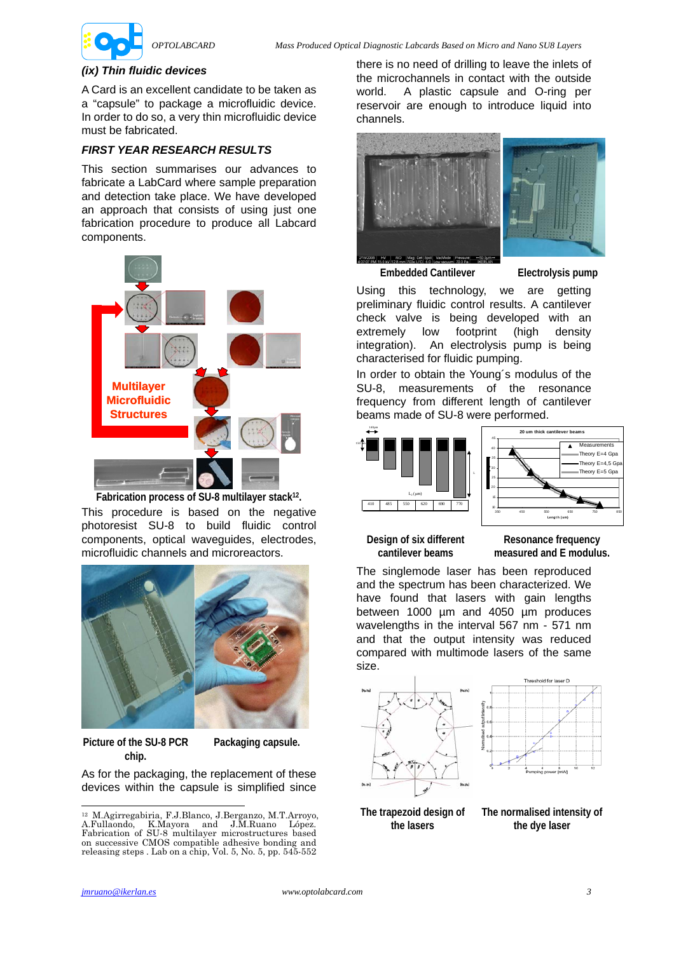

#### *(ix) Thin fluidic devices*

A Card is an excellent candidate to be taken as a "capsule" to package a microfluidic device. In order to do so, a very thin microfluidic device must be fabricated.

### *FIRST YEAR RESEARCH RESULTS*

This section summarises our advances to fabricate a LabCard where sample preparation and detection take place. We have developed an approach that consists of using just one fabrication procedure to produce all Labcard components.



**Fabrication process of SU-8 multilayer stack12.**  This procedure is based on the negative photoresist SU-8 to build fluidic control components, optical waveguides, electrodes, microfluidic channels and microreactors.



**Picture of the SU-8 PCR chip.** 

**Packaging capsule.** 

As for the packaging, the replacement of these devices within the capsule is simplified since

there is no need of drilling to leave the inlets of the microchannels in contact with the outside world. A plastic capsule and O-ring per reservoir are enough to introduce liquid into channels.



**Embedded Cantilever Electrolysis pump** 

Using this technology, we are getting preliminary fluidic control results. A cantilever check valve is being developed with an extremely low footprint (high density integration). An electrolysis pump is being characterised for fluidic pumping.

In order to obtain the Young´s modulus of the SU-8, measurements of the resonance frequency from different length of cantilever beams made of SU-8 were performed.



**Design of six different cantilever beams**

**Resonance frequency measured and E modulus.**

The singlemode laser has been reproduced and the spectrum has been characterized. We have found that lasers with gain lengths between 1000 µm and 4050 µm produces wavelengths in the interval 567 nm - 571 nm and that the output intensity was reduced compared with multimode lasers of the same size.



#### **The trapezoid design of the lasers**

**The normalised intensity of the dye laser** 

 $\overline{a}$ 

<sup>12</sup> M.Agirregabiria, F.J.Blanco, J.Berganzo, M.T.Arroyo, A.Fullaondo, K.Mayora and J.M.Ruano López. Fabrication of SU-8 multilayer microstructures based on successive CMOS compatible adhesive bonding and releasing steps . Lab on a chip, Vol. 5, No. 5, pp. 545-552